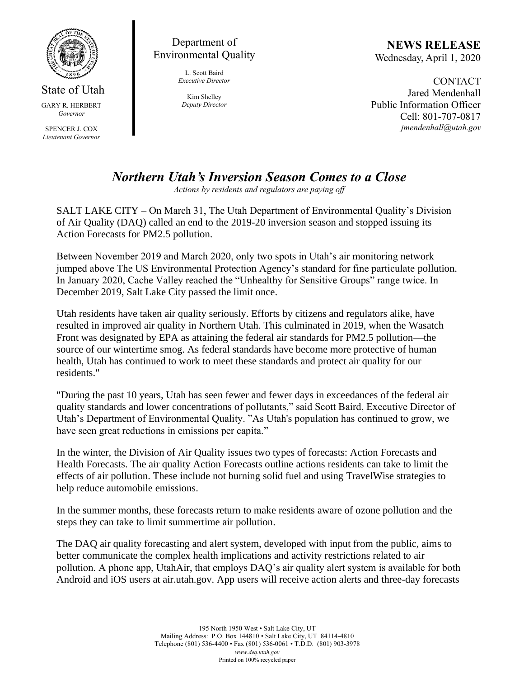

State of Utah GARY R. HERBERT *Governor*

SPENCER J. COX *Lieutenant Governor*

Department of Environmental Quality

> L. Scott Baird *Executive Director*

Kim Shelley *Deputy Director*

**NEWS RELEASE** Wednesday, April 1, 2020

**CONTACT** Jared Mendenhall Public Information Officer Cell: 801-707-0817 *jmendenhall@utah.gov*

## *Northern Utah's Inversion Season Comes to a Close*

*Actions by residents and regulators are paying off*

SALT LAKE CITY – On March 31, The Utah Department of Environmental Quality's Division of Air Quality (DAQ) called an end to the 2019-20 inversion season and stopped issuing its Action Forecasts for PM2.5 pollution.

Between November 2019 and March 2020, only two spots in Utah's air monitoring network jumped above The US Environmental Protection Agency's standard for fine particulate pollution. In January 2020, Cache Valley reached the "Unhealthy for Sensitive Groups" range twice. In December 2019, Salt Lake City passed the limit once.

Utah residents have taken air quality seriously. Efforts by citizens and regulators alike, have resulted in improved air quality in Northern Utah. This culminated in 2019, when the Wasatch Front was designated by EPA as attaining the federal air standards for PM2.5 pollution—the source of our wintertime smog. As federal standards have become more protective of human health, Utah has continued to work to meet these standards and protect air quality for our residents."

"During the past 10 years, Utah has seen fewer and fewer days in exceedances of the federal air quality standards and lower concentrations of pollutants," said Scott Baird, Executive Director of Utah's Department of Environmental Quality. "As Utah's population has continued to grow, we have seen great reductions in emissions per capita."

In the winter, the Division of Air Quality issues two types of forecasts: Action Forecasts and Health Forecasts. The air quality Action Forecasts outline actions residents can take to limit the effects of air pollution. These include not burning solid fuel and using TravelWise strategies to help reduce automobile emissions.

In the summer months, these forecasts return to make residents aware of ozone pollution and the steps they can take to limit summertime air pollution.

The DAQ air quality forecasting and alert system, developed with input from the public, aims to better communicate the complex health implications and activity restrictions related to air pollution. A phone app, UtahAir, that employs DAQ's air quality alert system is available for both Android and iOS users at air.utah.gov. App users will receive action alerts and three-day forecasts